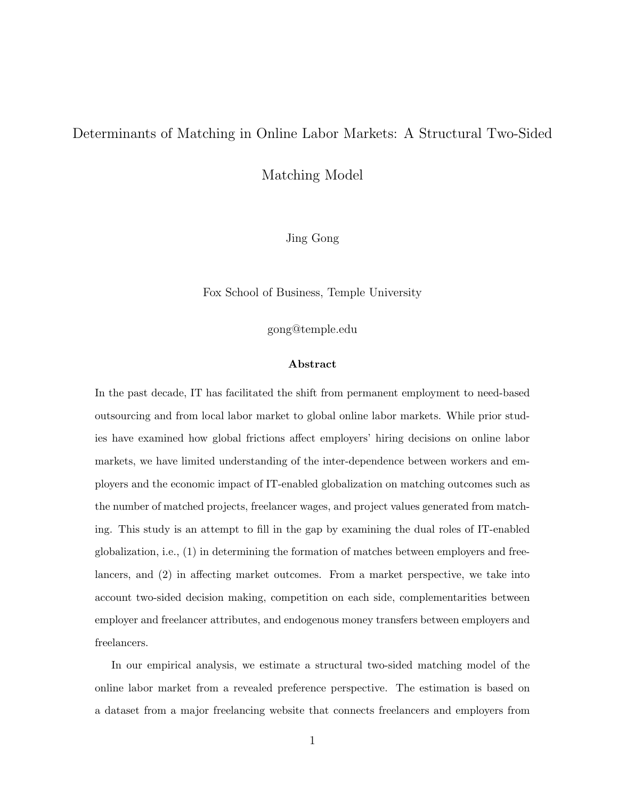#### Determinants of Matching in Online Labor Markets: A Structural Two-Sided

Matching Model

Jing Gong

Fox School of Business, Temple University

gong@temple.edu

#### Abstract

In the past decade, IT has facilitated the shift from permanent employment to need-based outsourcing and from local labor market to global online labor markets. While prior studies have examined how global frictions affect employers' hiring decisions on online labor markets, we have limited understanding of the inter-dependence between workers and employers and the economic impact of IT-enabled globalization on matching outcomes such as the number of matched projects, freelancer wages, and project values generated from matching. This study is an attempt to fill in the gap by examining the dual roles of IT-enabled globalization, i.e., (1) in determining the formation of matches between employers and freelancers, and (2) in affecting market outcomes. From a market perspective, we take into account two-sided decision making, competition on each side, complementarities between employer and freelancer attributes, and endogenous money transfers between employers and freelancers.

In our empirical analysis, we estimate a structural two-sided matching model of the online labor market from a revealed preference perspective. The estimation is based on a dataset from a major freelancing website that connects freelancers and employers from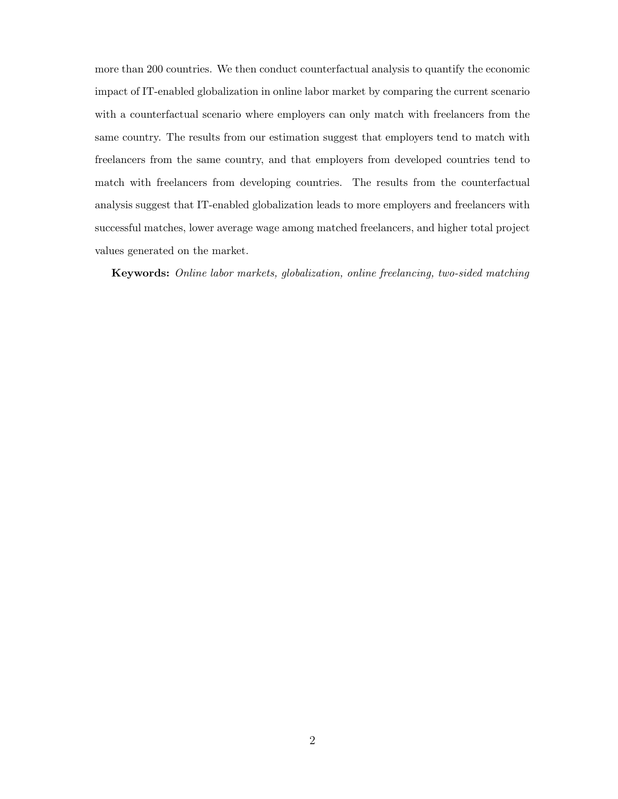more than 200 countries. We then conduct counterfactual analysis to quantify the economic impact of IT-enabled globalization in online labor market by comparing the current scenario with a counterfactual scenario where employers can only match with freelancers from the same country. The results from our estimation suggest that employers tend to match with freelancers from the same country, and that employers from developed countries tend to match with freelancers from developing countries. The results from the counterfactual analysis suggest that IT-enabled globalization leads to more employers and freelancers with successful matches, lower average wage among matched freelancers, and higher total project values generated on the market.

Keywords: Online labor markets, globalization, online freelancing, two-sided matching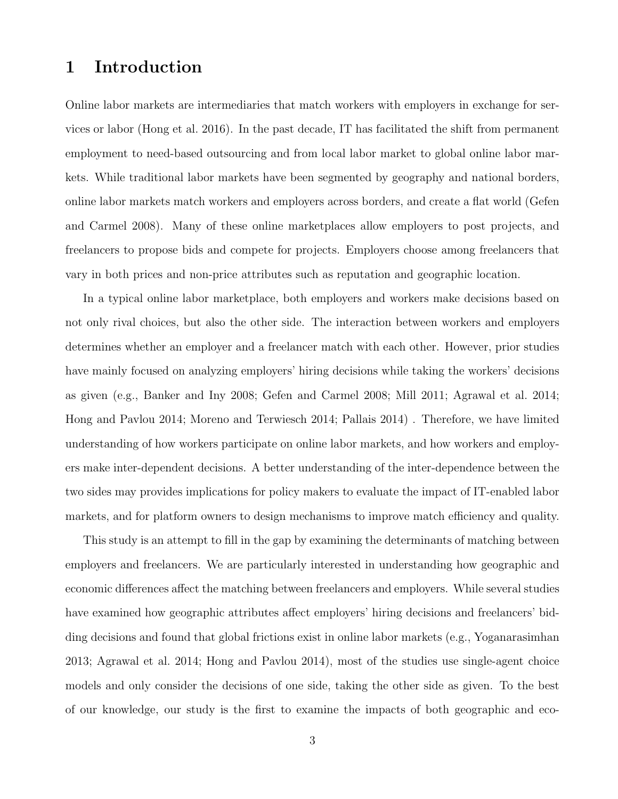## 1 Introduction

Online labor markets are intermediaries that match workers with employers in exchange for services or labor (Hong et al. 2016). In the past decade, IT has facilitated the shift from permanent employment to need-based outsourcing and from local labor market to global online labor markets. While traditional labor markets have been segmented by geography and national borders, online labor markets match workers and employers across borders, and create a flat world (Gefen and Carmel 2008). Many of these online marketplaces allow employers to post projects, and freelancers to propose bids and compete for projects. Employers choose among freelancers that vary in both prices and non-price attributes such as reputation and geographic location.

In a typical online labor marketplace, both employers and workers make decisions based on not only rival choices, but also the other side. The interaction between workers and employers determines whether an employer and a freelancer match with each other. However, prior studies have mainly focused on analyzing employers' hiring decisions while taking the workers' decisions as given (e.g., Banker and Iny 2008; Gefen and Carmel 2008; Mill 2011; Agrawal et al. 2014; Hong and Pavlou 2014; Moreno and Terwiesch 2014; Pallais 2014) . Therefore, we have limited understanding of how workers participate on online labor markets, and how workers and employers make inter-dependent decisions. A better understanding of the inter-dependence between the two sides may provides implications for policy makers to evaluate the impact of IT-enabled labor markets, and for platform owners to design mechanisms to improve match efficiency and quality.

This study is an attempt to fill in the gap by examining the determinants of matching between employers and freelancers. We are particularly interested in understanding how geographic and economic differences affect the matching between freelancers and employers. While several studies have examined how geographic attributes affect employers' hiring decisions and freelancers' bidding decisions and found that global frictions exist in online labor markets (e.g., Yoganarasimhan 2013; Agrawal et al. 2014; Hong and Pavlou 2014), most of the studies use single-agent choice models and only consider the decisions of one side, taking the other side as given. To the best of our knowledge, our study is the first to examine the impacts of both geographic and eco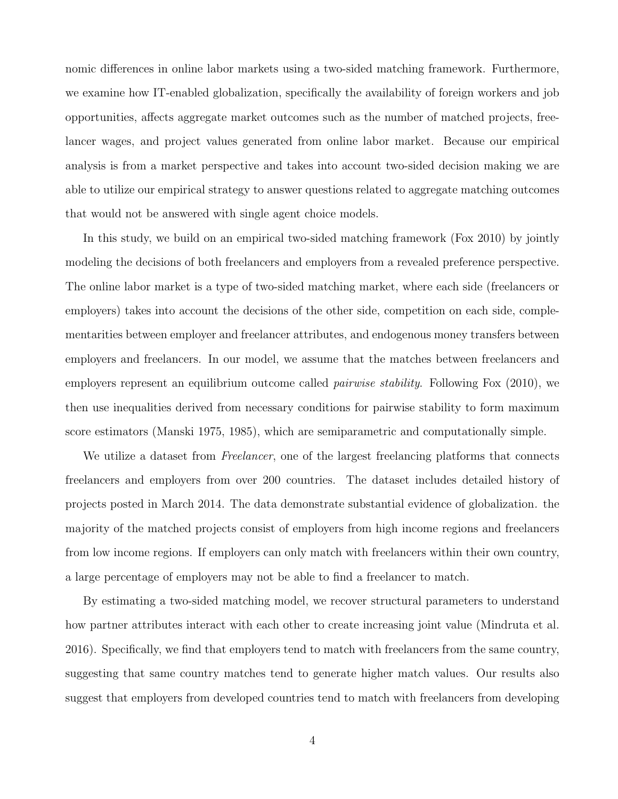nomic differences in online labor markets using a two-sided matching framework. Furthermore, we examine how IT-enabled globalization, specifically the availability of foreign workers and job opportunities, affects aggregate market outcomes such as the number of matched projects, freelancer wages, and project values generated from online labor market. Because our empirical analysis is from a market perspective and takes into account two-sided decision making we are able to utilize our empirical strategy to answer questions related to aggregate matching outcomes that would not be answered with single agent choice models.

In this study, we build on an empirical two-sided matching framework (Fox 2010) by jointly modeling the decisions of both freelancers and employers from a revealed preference perspective. The online labor market is a type of two-sided matching market, where each side (freelancers or employers) takes into account the decisions of the other side, competition on each side, complementarities between employer and freelancer attributes, and endogenous money transfers between employers and freelancers. In our model, we assume that the matches between freelancers and employers represent an equilibrium outcome called *pairwise stability*. Following Fox (2010), we then use inequalities derived from necessary conditions for pairwise stability to form maximum score estimators (Manski 1975, 1985), which are semiparametric and computationally simple.

We utilize a dataset from *Freelancer*, one of the largest freelancing platforms that connects freelancers and employers from over 200 countries. The dataset includes detailed history of projects posted in March 2014. The data demonstrate substantial evidence of globalization. the majority of the matched projects consist of employers from high income regions and freelancers from low income regions. If employers can only match with freelancers within their own country, a large percentage of employers may not be able to find a freelancer to match.

By estimating a two-sided matching model, we recover structural parameters to understand how partner attributes interact with each other to create increasing joint value (Mindruta et al. 2016). Specifically, we find that employers tend to match with freelancers from the same country, suggesting that same country matches tend to generate higher match values. Our results also suggest that employers from developed countries tend to match with freelancers from developing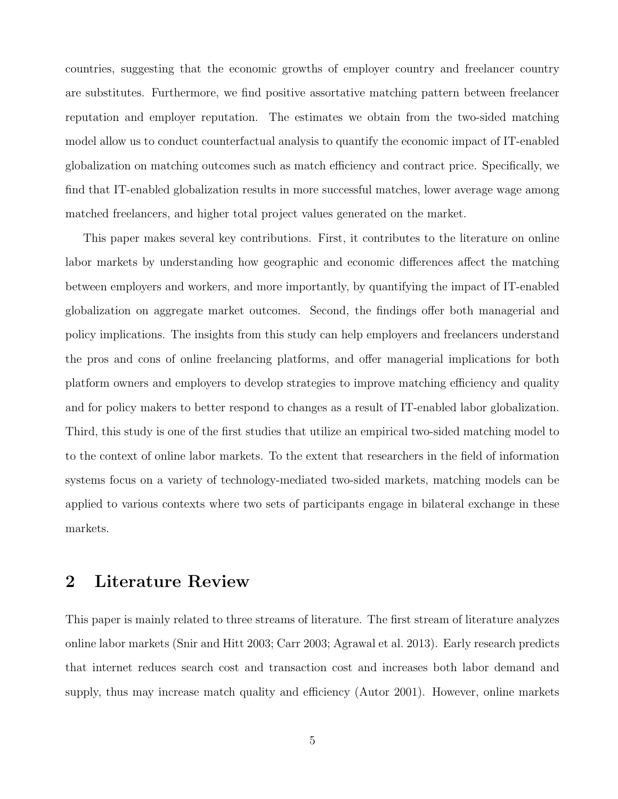countries, suggesting that the economic growths of employer country and freelancer country are substitutes. Furthermore, we find positive assortative matching pattern between freelancer reputation and employer reputation. The estimates we obtain from the two-sided matching model allow us to conduct counterfactual analysis to quantify the economic impact of IT-enabled globalization on matching outcomes such as match efficiency and contract price. Specifically, we find that IT-enabled globalization results in more successful matches, lower average wage among matched freelancers, and higher total project values generated on the market.

This paper makes several key contributions. First, it contributes to the literature on online labor markets by understanding how geographic and economic differences affect the matching between employers and workers, and more importantly, by quantifying the impact of IT-enabled globalization on aggregate market outcomes. Second, the findings offer both managerial and policy implications. The insights from this study can help employers and freelancers understand the pros and cons of online freelancing platforms, and offer managerial implications for both platform owners and employers to develop strategies to improve matching efficiency and quality and for policy makers to better respond to changes as a result of IT-enabled labor globalization. Third, this study is one of the first studies that utilize an empirical two-sided matching model to to the context of online labor markets. To the extent that researchers in the field of information systems focus on a variety of technology-mediated two-sided markets, matching models can be applied to various contexts where two sets of participants engage in bilateral exchange in these markets.

## 2 Literature Review

This paper is mainly related to three streams of literature. The first stream of literature analyzes online labor markets (Snir and Hitt 2003; Carr 2003; Agrawal et al. 2013). Early research predicts that internet reduces search cost and transaction cost and increases both labor demand and supply, thus may increase match quality and efficiency (Autor 2001). However, online markets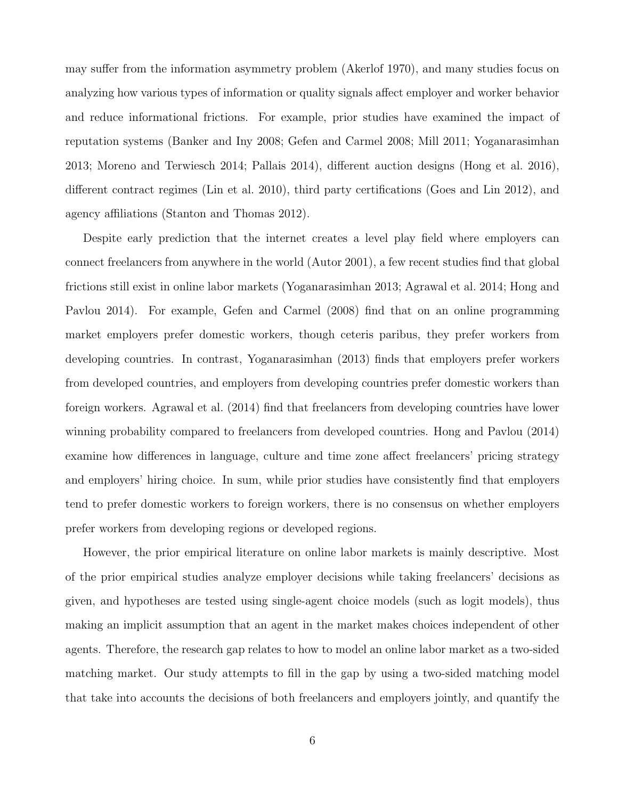may suffer from the information asymmetry problem (Akerlof 1970), and many studies focus on analyzing how various types of information or quality signals affect employer and worker behavior and reduce informational frictions. For example, prior studies have examined the impact of reputation systems (Banker and Iny 2008; Gefen and Carmel 2008; Mill 2011; Yoganarasimhan 2013; Moreno and Terwiesch 2014; Pallais 2014), different auction designs (Hong et al. 2016), different contract regimes (Lin et al. 2010), third party certifications (Goes and Lin 2012), and agency affiliations (Stanton and Thomas 2012).

Despite early prediction that the internet creates a level play field where employers can connect freelancers from anywhere in the world (Autor 2001), a few recent studies find that global frictions still exist in online labor markets (Yoganarasimhan 2013; Agrawal et al. 2014; Hong and Pavlou 2014). For example, Gefen and Carmel (2008) find that on an online programming market employers prefer domestic workers, though ceteris paribus, they prefer workers from developing countries. In contrast, Yoganarasimhan (2013) finds that employers prefer workers from developed countries, and employers from developing countries prefer domestic workers than foreign workers. Agrawal et al. (2014) find that freelancers from developing countries have lower winning probability compared to freelancers from developed countries. Hong and Pavlou (2014) examine how differences in language, culture and time zone affect freelancers' pricing strategy and employers' hiring choice. In sum, while prior studies have consistently find that employers tend to prefer domestic workers to foreign workers, there is no consensus on whether employers prefer workers from developing regions or developed regions.

However, the prior empirical literature on online labor markets is mainly descriptive. Most of the prior empirical studies analyze employer decisions while taking freelancers' decisions as given, and hypotheses are tested using single-agent choice models (such as logit models), thus making an implicit assumption that an agent in the market makes choices independent of other agents. Therefore, the research gap relates to how to model an online labor market as a two-sided matching market. Our study attempts to fill in the gap by using a two-sided matching model that take into accounts the decisions of both freelancers and employers jointly, and quantify the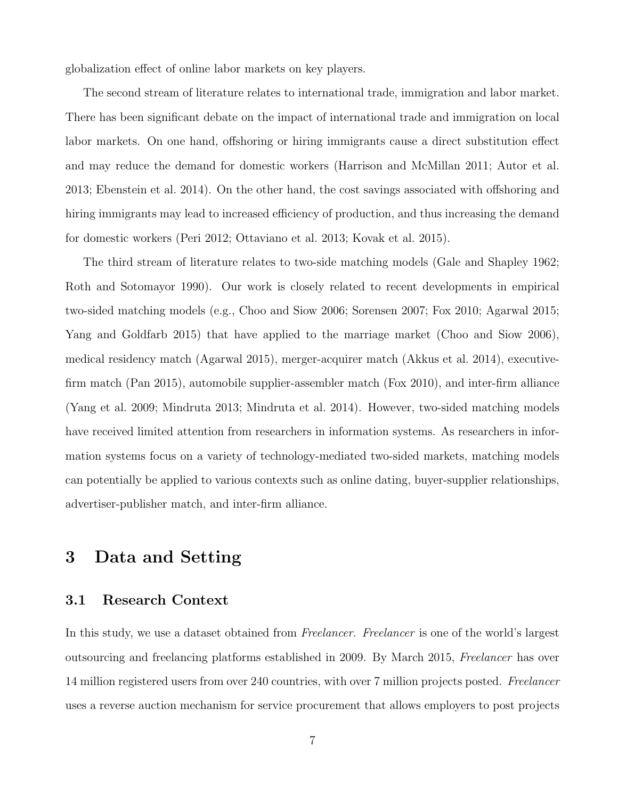globalization effect of online labor markets on key players.

The second stream of literature relates to international trade, immigration and labor market. There has been significant debate on the impact of international trade and immigration on local labor markets. On one hand, offshoring or hiring immigrants cause a direct substitution effect and may reduce the demand for domestic workers (Harrison and McMillan 2011; Autor et al. 2013; Ebenstein et al. 2014). On the other hand, the cost savings associated with offshoring and hiring immigrants may lead to increased efficiency of production, and thus increasing the demand for domestic workers (Peri 2012; Ottaviano et al. 2013; Kovak et al. 2015).

The third stream of literature relates to two-side matching models (Gale and Shapley 1962; Roth and Sotomayor 1990). Our work is closely related to recent developments in empirical two-sided matching models (e.g., Choo and Siow 2006; Sorensen 2007; Fox 2010; Agarwal 2015; Yang and Goldfarb 2015) that have applied to the marriage market (Choo and Siow 2006), medical residency match (Agarwal 2015), merger-acquirer match (Akkus et al. 2014), executivefirm match (Pan 2015), automobile supplier-assembler match (Fox 2010), and inter-firm alliance (Yang et al. 2009; Mindruta 2013; Mindruta et al. 2014). However, two-sided matching models have received limited attention from researchers in information systems. As researchers in information systems focus on a variety of technology-mediated two-sided markets, matching models can potentially be applied to various contexts such as online dating, buyer-supplier relationships, advertiser-publisher match, and inter-firm alliance.

## 3 Data and Setting

#### 3.1 Research Context

In this study, we use a dataset obtained from *Freelancer. Freelancer* is one of the world's largest outsourcing and freelancing platforms established in 2009. By March 2015, Freelancer has over 14 million registered users from over 240 countries, with over 7 million projects posted. Freelancer uses a reverse auction mechanism for service procurement that allows employers to post projects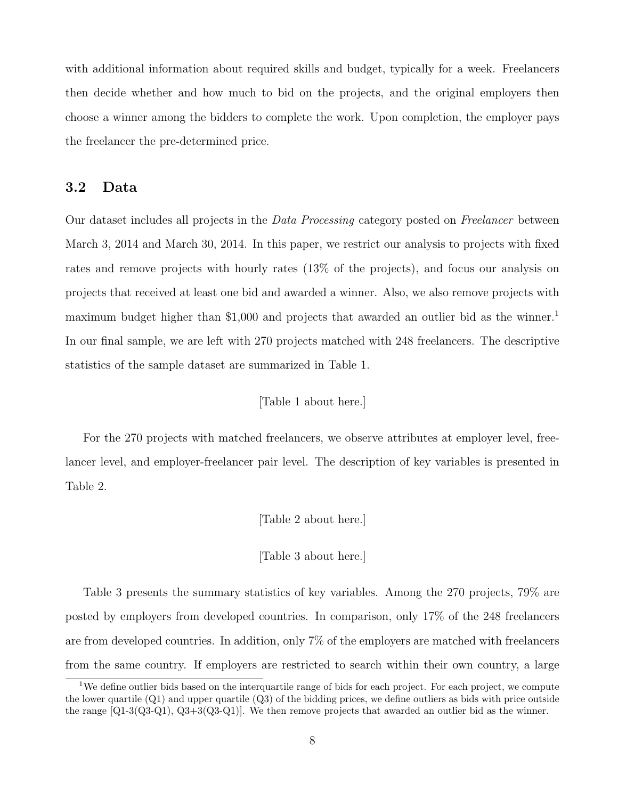with additional information about required skills and budget, typically for a week. Freelancers then decide whether and how much to bid on the projects, and the original employers then choose a winner among the bidders to complete the work. Upon completion, the employer pays the freelancer the pre-determined price.

#### 3.2 Data

Our dataset includes all projects in the *Data Processing* category posted on *Freelancer* between March 3, 2014 and March 30, 2014. In this paper, we restrict our analysis to projects with fixed rates and remove projects with hourly rates (13% of the projects), and focus our analysis on projects that received at least one bid and awarded a winner. Also, we also remove projects with maximum budget higher than \$1,000 and projects that awarded an outlier bid as the winner.<sup>1</sup> In our final sample, we are left with 270 projects matched with 248 freelancers. The descriptive statistics of the sample dataset are summarized in Table 1.

#### [Table 1 about here.]

For the 270 projects with matched freelancers, we observe attributes at employer level, freelancer level, and employer-freelancer pair level. The description of key variables is presented in Table 2.

[Table 2 about here.]

[Table 3 about here.]

Table 3 presents the summary statistics of key variables. Among the 270 projects, 79% are posted by employers from developed countries. In comparison, only 17% of the 248 freelancers are from developed countries. In addition, only 7% of the employers are matched with freelancers from the same country. If employers are restricted to search within their own country, a large

<sup>&</sup>lt;sup>1</sup>We define outlier bids based on the interquartile range of bids for each project. For each project, we compute the lower quartile (Q1) and upper quartile (Q3) of the bidding prices, we define outliers as bids with price outside the range [Q1-3(Q3-Q1), Q3+3(Q3-Q1)]. We then remove projects that awarded an outlier bid as the winner.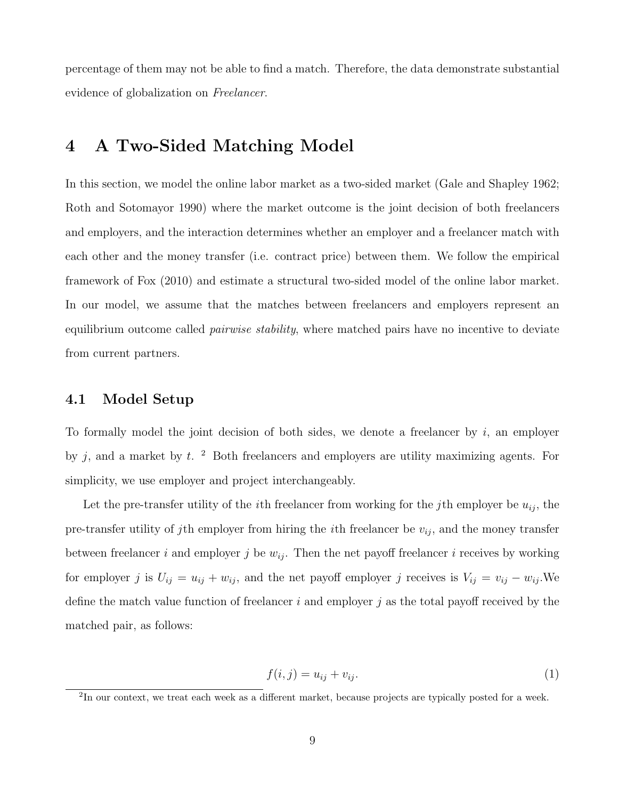percentage of them may not be able to find a match. Therefore, the data demonstrate substantial evidence of globalization on Freelancer.

## 4 A Two-Sided Matching Model

In this section, we model the online labor market as a two-sided market (Gale and Shapley 1962; Roth and Sotomayor 1990) where the market outcome is the joint decision of both freelancers and employers, and the interaction determines whether an employer and a freelancer match with each other and the money transfer (i.e. contract price) between them. We follow the empirical framework of Fox (2010) and estimate a structural two-sided model of the online labor market. In our model, we assume that the matches between freelancers and employers represent an equilibrium outcome called *pairwise stability*, where matched pairs have no incentive to deviate from current partners.

#### 4.1 Model Setup

To formally model the joint decision of both sides, we denote a freelancer by  $i$ , an employer by  $j$ , and a market by  $t$ . <sup>2</sup> Both freelancers and employers are utility maximizing agents. For simplicity, we use employer and project interchangeably.

Let the pre-transfer utility of the *i*<sup>th</sup> freelancer from working for the *j*<sup>th</sup> employer be  $u_{ij}$ , the pre-transfer utility of jth employer from hiring the *i*th freelancer be  $v_{ij}$ , and the money transfer between freelancer i and employer j be  $w_{ij}$ . Then the net payoff freelancer i receives by working for employer j is  $U_{ij} = u_{ij} + w_{ij}$ , and the net payoff employer j receives is  $V_{ij} = v_{ij} - w_{ij}$ . We define the match value function of freelancer i and employer j as the total payoff received by the matched pair, as follows:

$$
f(i,j) = u_{ij} + v_{ij}.\tag{1}
$$

<sup>&</sup>lt;sup>2</sup>In our context, we treat each week as a different market, because projects are typically posted for a week.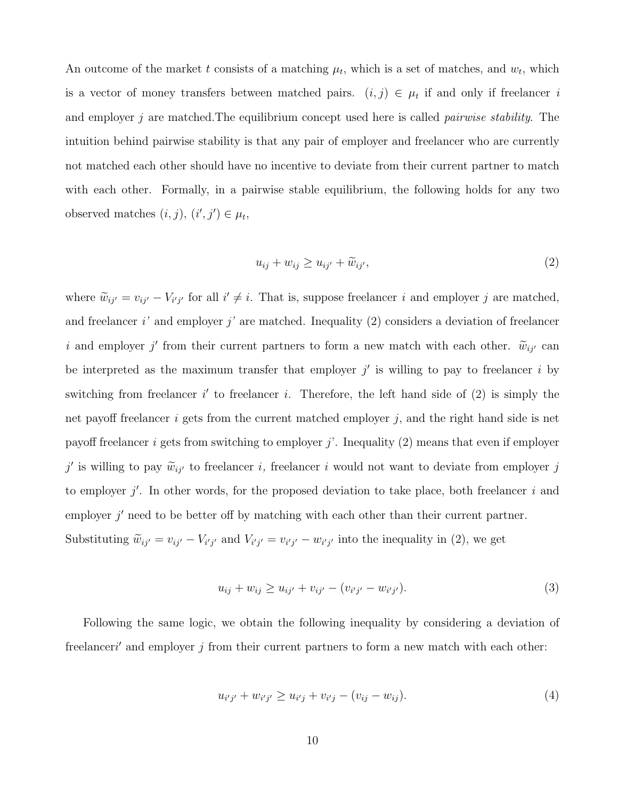An outcome of the market t consists of a matching  $\mu_t$ , which is a set of matches, and  $w_t$ , which is a vector of money transfers between matched pairs.  $(i, j) \in \mu_t$  if and only if freelancer i and employer  $j$  are matched. The equilibrium concept used here is called *pairwise stability*. The intuition behind pairwise stability is that any pair of employer and freelancer who are currently not matched each other should have no incentive to deviate from their current partner to match with each other. Formally, in a pairwise stable equilibrium, the following holds for any two observed matches  $(i, j), (i', j') \in \mu_t$ ,

$$
u_{ij} + w_{ij} \ge u_{ij'} + \widetilde{w}_{ij'}, \tag{2}
$$

where  $\tilde{w}_{ij'} = v_{ij'} - V_{i'j'}$  for all  $i' \neq i$ . That is, suppose freelancer i and employer j are matched, and freelancer i' and employer j' are matched. Inequality (2) considers a deviation of freelancer i and employer j' from their current partners to form a new match with each other.  $\widetilde{w}_{ij'}$  can be interpreted as the maximum transfer that employer  $j'$  is willing to pay to freelancer i by switching from freelancer  $i'$  to freelancer i. Therefore, the left hand side of  $(2)$  is simply the net payoff freelancer  $i$  gets from the current matched employer  $j$ , and the right hand side is net payoff freelancer i gets from switching to employer j'. Inequality  $(2)$  means that even if employer  $j'$  is willing to pay  $\widetilde{w}_{ij'}$  to freelancer i, freelancer i would not want to deviate from employer j to employer  $j'$ . In other words, for the proposed deviation to take place, both freelancer i and employer  $j'$  need to be better off by matching with each other than their current partner. Substituting  $\widetilde{w}_{ij'} = v_{ij'} - V_{i'j'}$  and  $V_{i'j'} = v_{i'j'} - w_{i'j'}$  into the inequality in (2), we get

$$
u_{ij} + w_{ij} \ge u_{ij'} + v_{ij'} - (v_{i'j'} - w_{i'j'}).
$$
\n(3)

Following the same logic, we obtain the following inequality by considering a deviation of freelanceri' and employer  $j$  from their current partners to form a new match with each other:

$$
u_{i'j'} + w_{i'j'} \ge u_{i'j} + v_{i'j} - (v_{ij} - w_{ij}).
$$
\n(4)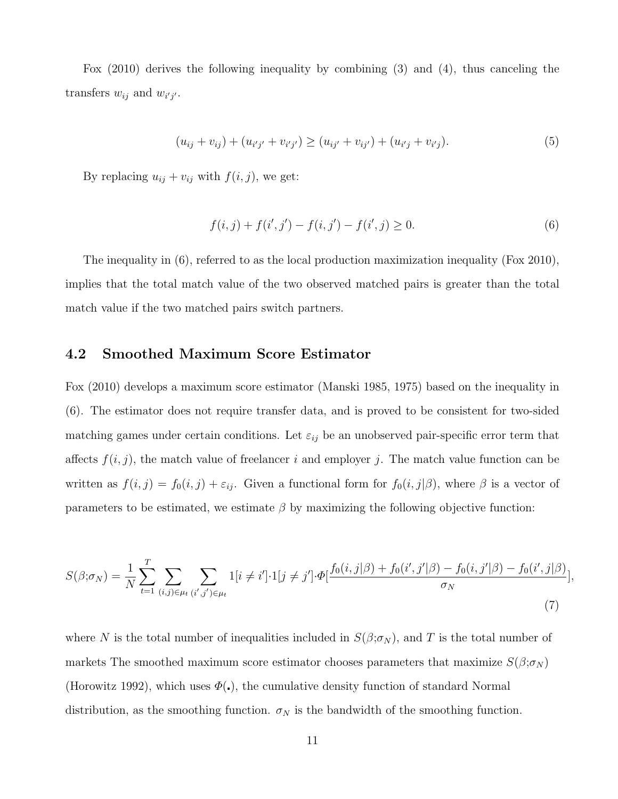Fox (2010) derives the following inequality by combining (3) and (4), thus canceling the transfers  $w_{ij}$  and  $w_{i'j'}$ .

$$
(u_{ij} + v_{ij}) + (u_{i'j'} + v_{i'j'}) \ge (u_{ij'} + v_{ij'}) + (u_{i'j} + v_{i'j}).
$$
\n(5)

By replacing  $u_{ij} + v_{ij}$  with  $f(i, j)$ , we get:

$$
f(i, j) + f(i', j') - f(i, j') - f(i', j) \ge 0.
$$
\n(6)

The inequality in (6), referred to as the local production maximization inequality (Fox 2010), implies that the total match value of the two observed matched pairs is greater than the total match value if the two matched pairs switch partners.

#### 4.2 Smoothed Maximum Score Estimator

Fox (2010) develops a maximum score estimator (Manski 1985, 1975) based on the inequality in (6). The estimator does not require transfer data, and is proved to be consistent for two-sided matching games under certain conditions. Let  $\varepsilon_{ij}$  be an unobserved pair-specific error term that affects  $f(i, j)$ , the match value of freelancer i and employer j. The match value function can be written as  $f(i, j) = f_0(i, j) + \varepsilon_{ij}$ . Given a functional form for  $f_0(i, j|\beta)$ , where  $\beta$  is a vector of parameters to be estimated, we estimate  $\beta$  by maximizing the following objective function:

$$
S(\beta;\sigma_N) = \frac{1}{N} \sum_{t=1}^T \sum_{(i,j) \in \mu_t} \sum_{(i',j') \in \mu_t} 1[i \neq i'] \cdot 1[j \neq j'] \cdot \Phi[\frac{f_0(i,j|\beta) + f_0(i',j'|\beta) - f_0(i,j'|\beta) - f_0(i',j|\beta)}{\sigma_N}],
$$
\n(7)

where N is the total number of inequalities included in  $S(\beta;\sigma_N)$ , and T is the total number of markets The smoothed maximum score estimator chooses parameters that maximize  $S(\beta;\sigma_N)$ (Horowitz 1992), which uses  $\Phi(.)$ , the cumulative density function of standard Normal distribution, as the smoothing function.  $\sigma_N$  is the bandwidth of the smoothing function.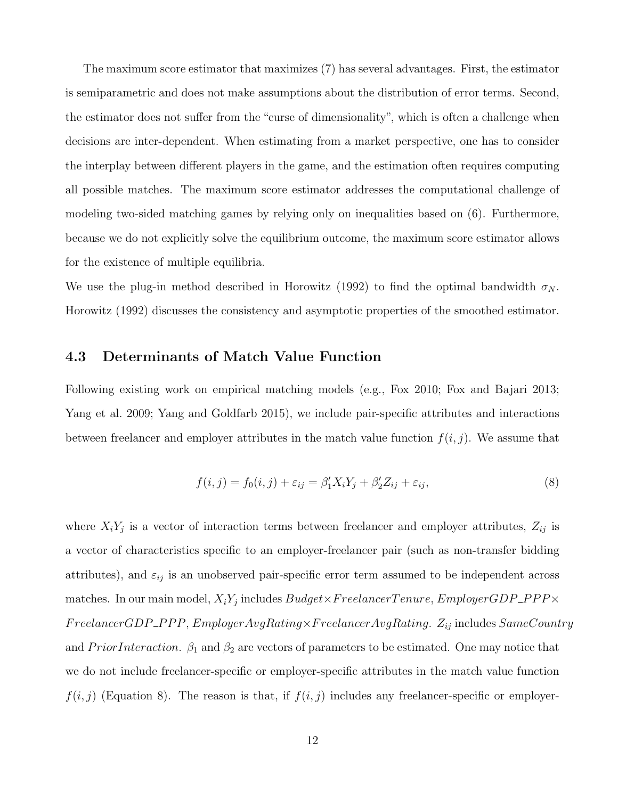The maximum score estimator that maximizes (7) has several advantages. First, the estimator is semiparametric and does not make assumptions about the distribution of error terms. Second, the estimator does not suffer from the "curse of dimensionality", which is often a challenge when decisions are inter-dependent. When estimating from a market perspective, one has to consider the interplay between different players in the game, and the estimation often requires computing all possible matches. The maximum score estimator addresses the computational challenge of modeling two-sided matching games by relying only on inequalities based on (6). Furthermore, because we do not explicitly solve the equilibrium outcome, the maximum score estimator allows for the existence of multiple equilibria.

We use the plug-in method described in Horowitz (1992) to find the optimal bandwidth  $\sigma_N$ . Horowitz (1992) discusses the consistency and asymptotic properties of the smoothed estimator.

#### 4.3 Determinants of Match Value Function

Following existing work on empirical matching models (e.g., Fox 2010; Fox and Bajari 2013; Yang et al. 2009; Yang and Goldfarb 2015), we include pair-specific attributes and interactions between freelancer and employer attributes in the match value function  $f(i, j)$ . We assume that

$$
f(i,j) = f_0(i,j) + \varepsilon_{ij} = \beta'_1 X_i Y_j + \beta'_2 Z_{ij} + \varepsilon_{ij},\tag{8}
$$

where  $X_i Y_j$  is a vector of interaction terms between freelancer and employer attributes,  $Z_{ij}$  is a vector of characteristics specific to an employer-freelancer pair (such as non-transfer bidding attributes), and  $\varepsilon_{ij}$  is an unobserved pair-specific error term assumed to be independent across matches. In our main model,  $X_i Y_j$  includes  $Budget \times FreedancerTenure, Emplayer GDP\_PPP \times$  $FreelancerGDP\_PPP, \,EmployeeAvgRating \times FreelancerAvgRating. \ Z_{ij} \, \text{includes} \, SameCountry$ and *PriorInteraction*.  $\beta_1$  and  $\beta_2$  are vectors of parameters to be estimated. One may notice that we do not include freelancer-specific or employer-specific attributes in the match value function  $f(i, j)$  (Equation 8). The reason is that, if  $f(i, j)$  includes any freelancer-specific or employer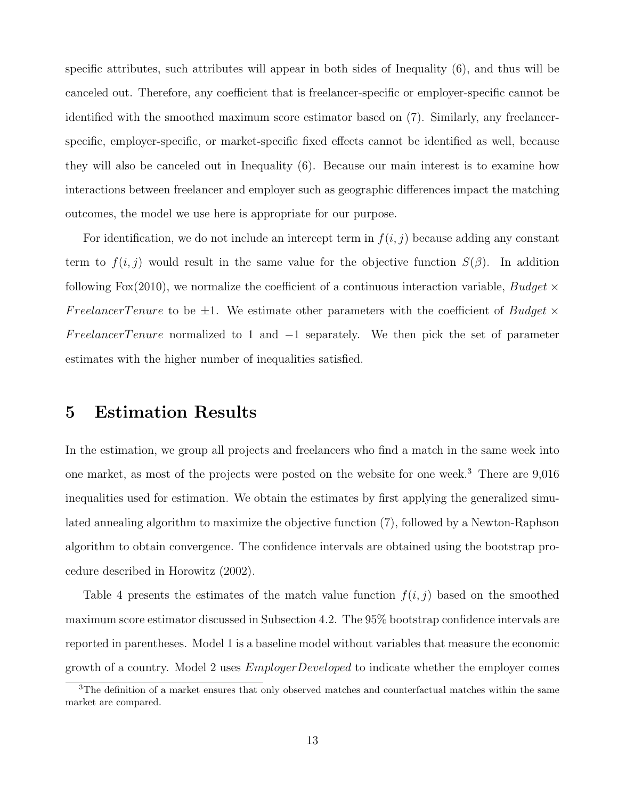specific attributes, such attributes will appear in both sides of Inequality (6), and thus will be canceled out. Therefore, any coefficient that is freelancer-specific or employer-specific cannot be identified with the smoothed maximum score estimator based on (7). Similarly, any freelancerspecific, employer-specific, or market-specific fixed effects cannot be identified as well, because they will also be canceled out in Inequality (6). Because our main interest is to examine how interactions between freelancer and employer such as geographic differences impact the matching outcomes, the model we use here is appropriate for our purpose.

For identification, we do not include an intercept term in  $f(i, j)$  because adding any constant term to  $f(i, j)$  would result in the same value for the objective function  $S(\beta)$ . In addition following Fox(2010), we normalize the coefficient of a continuous interaction variable,  $Budget \times$ FreelancerTenure to be  $\pm 1$ . We estimate other parameters with the coefficient of *Budget*  $\times$ FreelancerTenure normalized to 1 and  $-1$  separately. We then pick the set of parameter estimates with the higher number of inequalities satisfied.

## 5 Estimation Results

In the estimation, we group all projects and freelancers who find a match in the same week into one market, as most of the projects were posted on the website for one week.<sup>3</sup> There are 9,016 inequalities used for estimation. We obtain the estimates by first applying the generalized simulated annealing algorithm to maximize the objective function (7), followed by a Newton-Raphson algorithm to obtain convergence. The confidence intervals are obtained using the bootstrap procedure described in Horowitz (2002).

Table 4 presents the estimates of the match value function  $f(i, j)$  based on the smoothed maximum score estimator discussed in Subsection 4.2. The 95% bootstrap confidence intervals are reported in parentheses. Model 1 is a baseline model without variables that measure the economic growth of a country. Model 2 uses  $EmplayerDeveloped$  to indicate whether the employer comes

 $3$ The definition of a market ensures that only observed matches and counterfactual matches within the same market are compared.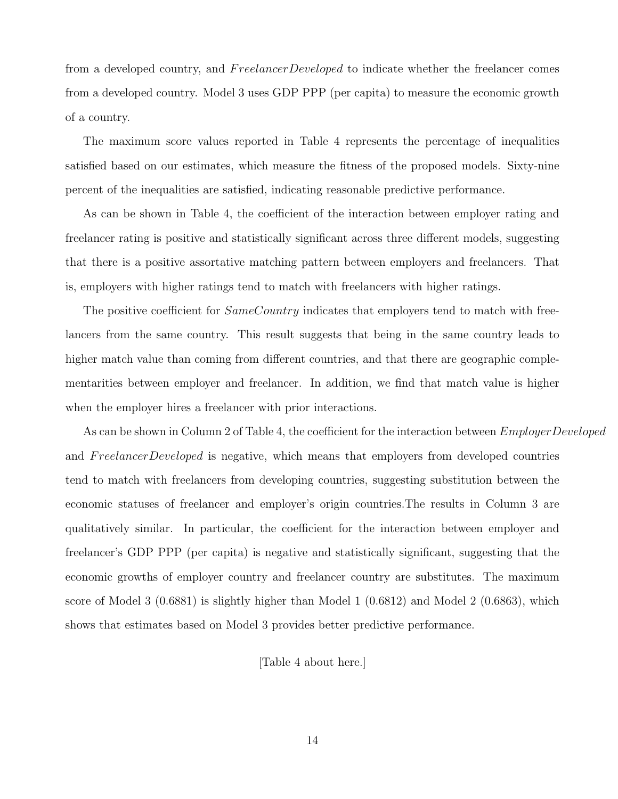from a developed country, and FreelancerDeveloped to indicate whether the freelancer comes from a developed country. Model 3 uses GDP PPP (per capita) to measure the economic growth of a country.

The maximum score values reported in Table 4 represents the percentage of inequalities satisfied based on our estimates, which measure the fitness of the proposed models. Sixty-nine percent of the inequalities are satisfied, indicating reasonable predictive performance.

As can be shown in Table 4, the coefficient of the interaction between employer rating and freelancer rating is positive and statistically significant across three different models, suggesting that there is a positive assortative matching pattern between employers and freelancers. That is, employers with higher ratings tend to match with freelancers with higher ratings.

The positive coefficient for  $SameCountry$  indicates that employers tend to match with freelancers from the same country. This result suggests that being in the same country leads to higher match value than coming from different countries, and that there are geographic complementarities between employer and freelancer. In addition, we find that match value is higher when the employer hires a freelancer with prior interactions.

As can be shown in Column 2 of Table 4, the coefficient for the interaction between  $EmplayerDeveloped$ and FreelancerDeveloped is negative, which means that employers from developed countries tend to match with freelancers from developing countries, suggesting substitution between the economic statuses of freelancer and employer's origin countries.The results in Column 3 are qualitatively similar. In particular, the coefficient for the interaction between employer and freelancer's GDP PPP (per capita) is negative and statistically significant, suggesting that the economic growths of employer country and freelancer country are substitutes. The maximum score of Model 3 (0.6881) is slightly higher than Model 1 (0.6812) and Model 2 (0.6863), which shows that estimates based on Model 3 provides better predictive performance.

[Table 4 about here.]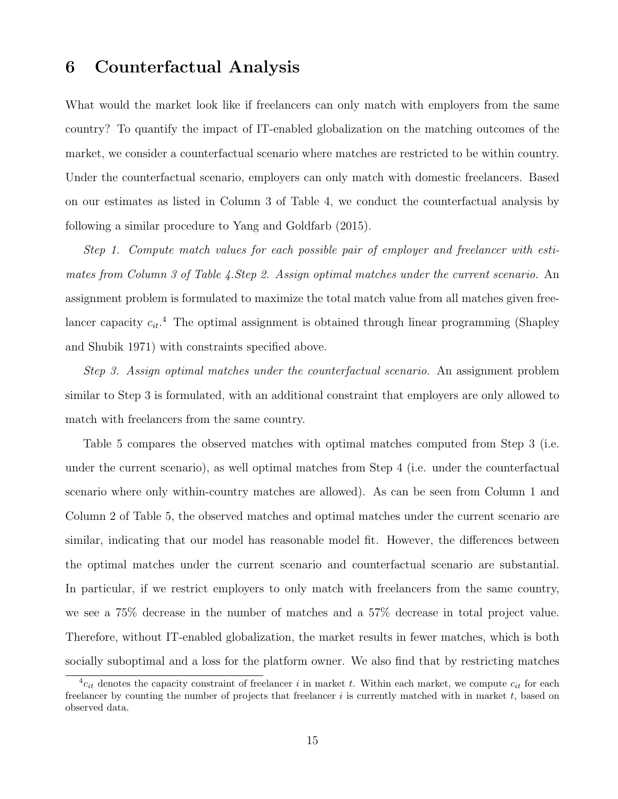### 6 Counterfactual Analysis

What would the market look like if freelancers can only match with employers from the same country? To quantify the impact of IT-enabled globalization on the matching outcomes of the market, we consider a counterfactual scenario where matches are restricted to be within country. Under the counterfactual scenario, employers can only match with domestic freelancers. Based on our estimates as listed in Column 3 of Table 4, we conduct the counterfactual analysis by following a similar procedure to Yang and Goldfarb (2015).

Step 1. Compute match values for each possible pair of employer and freelancer with estimates from Column 3 of Table 4.Step 2. Assign optimal matches under the current scenario. An assignment problem is formulated to maximize the total match value from all matches given freelancer capacity  $c_{it}$ <sup>4</sup>. The optimal assignment is obtained through linear programming (Shapley and Shubik 1971) with constraints specified above.

Step 3. Assign optimal matches under the counterfactual scenario. An assignment problem similar to Step 3 is formulated, with an additional constraint that employers are only allowed to match with freelancers from the same country.

Table 5 compares the observed matches with optimal matches computed from Step 3 (i.e. under the current scenario), as well optimal matches from Step 4 (i.e. under the counterfactual scenario where only within-country matches are allowed). As can be seen from Column 1 and Column 2 of Table 5, the observed matches and optimal matches under the current scenario are similar, indicating that our model has reasonable model fit. However, the differences between the optimal matches under the current scenario and counterfactual scenario are substantial. In particular, if we restrict employers to only match with freelancers from the same country, we see a 75% decrease in the number of matches and a 57% decrease in total project value. Therefore, without IT-enabled globalization, the market results in fewer matches, which is both socially suboptimal and a loss for the platform owner. We also find that by restricting matches

 ${}^4c_{it}$  denotes the capacity constraint of freelancer i in market t. Within each market, we compute  $c_{it}$  for each freelancer by counting the number of projects that freelancer  $i$  is currently matched with in market  $t$ , based on observed data.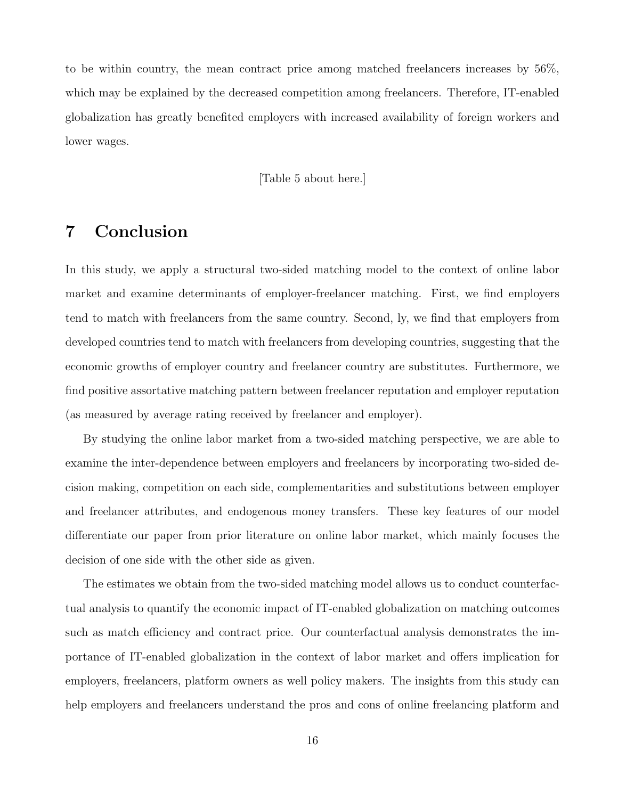to be within country, the mean contract price among matched freelancers increases by 56%, which may be explained by the decreased competition among freelancers. Therefore, IT-enabled globalization has greatly benefited employers with increased availability of foreign workers and lower wages.

[Table 5 about here.]

## 7 Conclusion

In this study, we apply a structural two-sided matching model to the context of online labor market and examine determinants of employer-freelancer matching. First, we find employers tend to match with freelancers from the same country. Second, ly, we find that employers from developed countries tend to match with freelancers from developing countries, suggesting that the economic growths of employer country and freelancer country are substitutes. Furthermore, we find positive assortative matching pattern between freelancer reputation and employer reputation (as measured by average rating received by freelancer and employer).

By studying the online labor market from a two-sided matching perspective, we are able to examine the inter-dependence between employers and freelancers by incorporating two-sided decision making, competition on each side, complementarities and substitutions between employer and freelancer attributes, and endogenous money transfers. These key features of our model differentiate our paper from prior literature on online labor market, which mainly focuses the decision of one side with the other side as given.

The estimates we obtain from the two-sided matching model allows us to conduct counterfactual analysis to quantify the economic impact of IT-enabled globalization on matching outcomes such as match efficiency and contract price. Our counterfactual analysis demonstrates the importance of IT-enabled globalization in the context of labor market and offers implication for employers, freelancers, platform owners as well policy makers. The insights from this study can help employers and freelancers understand the pros and cons of online freelancing platform and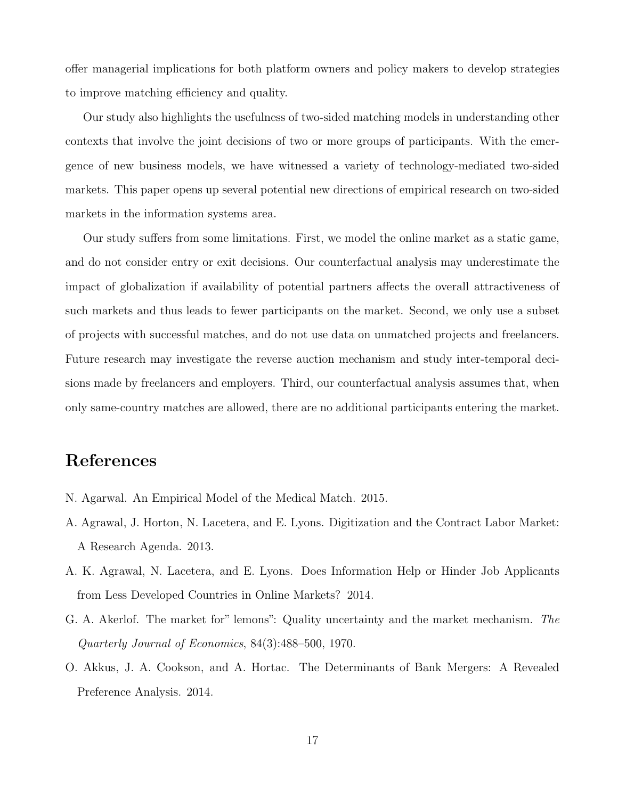offer managerial implications for both platform owners and policy makers to develop strategies to improve matching efficiency and quality.

Our study also highlights the usefulness of two-sided matching models in understanding other contexts that involve the joint decisions of two or more groups of participants. With the emergence of new business models, we have witnessed a variety of technology-mediated two-sided markets. This paper opens up several potential new directions of empirical research on two-sided markets in the information systems area.

Our study suffers from some limitations. First, we model the online market as a static game, and do not consider entry or exit decisions. Our counterfactual analysis may underestimate the impact of globalization if availability of potential partners affects the overall attractiveness of such markets and thus leads to fewer participants on the market. Second, we only use a subset of projects with successful matches, and do not use data on unmatched projects and freelancers. Future research may investigate the reverse auction mechanism and study inter-temporal decisions made by freelancers and employers. Third, our counterfactual analysis assumes that, when only same-country matches are allowed, there are no additional participants entering the market.

## References

- N. Agarwal. An Empirical Model of the Medical Match. 2015.
- A. Agrawal, J. Horton, N. Lacetera, and E. Lyons. Digitization and the Contract Labor Market: A Research Agenda. 2013.
- A. K. Agrawal, N. Lacetera, and E. Lyons. Does Information Help or Hinder Job Applicants from Less Developed Countries in Online Markets? 2014.
- G. A. Akerlof. The market for" lemons": Quality uncertainty and the market mechanism. The Quarterly Journal of Economics, 84(3):488–500, 1970.
- O. Akkus, J. A. Cookson, and A. Hortac. The Determinants of Bank Mergers: A Revealed Preference Analysis. 2014.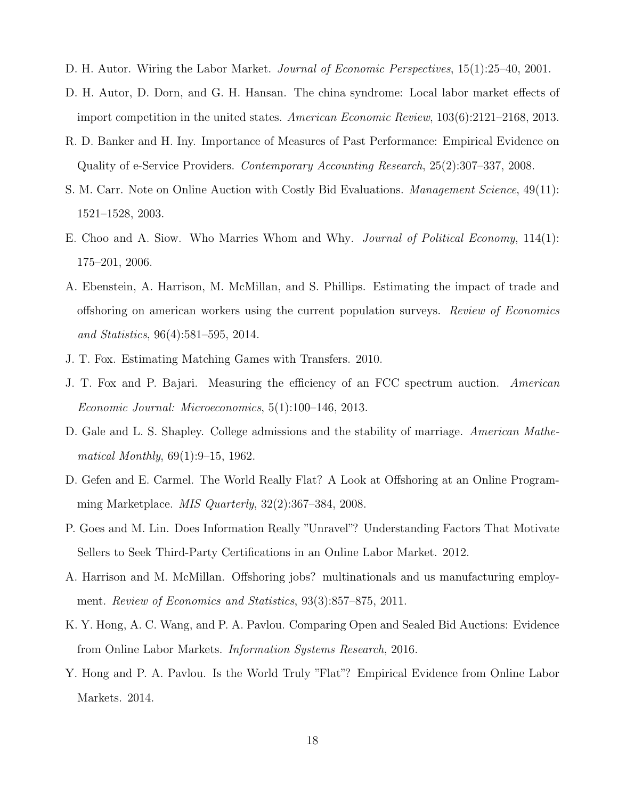- D. H. Autor. Wiring the Labor Market. *Journal of Economic Perspectives*, 15(1):25–40, 2001.
- D. H. Autor, D. Dorn, and G. H. Hansan. The china syndrome: Local labor market effects of import competition in the united states. American Economic Review, 103(6):2121–2168, 2013.
- R. D. Banker and H. Iny. Importance of Measures of Past Performance: Empirical Evidence on Quality of e-Service Providers. Contemporary Accounting Research, 25(2):307–337, 2008.
- S. M. Carr. Note on Online Auction with Costly Bid Evaluations. *Management Science*, 49(11): 1521–1528, 2003.
- E. Choo and A. Siow. Who Marries Whom and Why. Journal of Political Economy, 114(1): 175–201, 2006.
- A. Ebenstein, A. Harrison, M. McMillan, and S. Phillips. Estimating the impact of trade and offshoring on american workers using the current population surveys. Review of Economics and Statistics, 96(4):581–595, 2014.
- J. T. Fox. Estimating Matching Games with Transfers. 2010.
- J. T. Fox and P. Bajari. Measuring the efficiency of an FCC spectrum auction. American Economic Journal: Microeconomics, 5(1):100–146, 2013.
- D. Gale and L. S. Shapley. College admissions and the stability of marriage. American Mathematical Monthly, 69(1):9–15, 1962.
- D. Gefen and E. Carmel. The World Really Flat? A Look at Offshoring at an Online Programming Marketplace. MIS Quarterly, 32(2):367–384, 2008.
- P. Goes and M. Lin. Does Information Really "Unravel"? Understanding Factors That Motivate Sellers to Seek Third-Party Certifications in an Online Labor Market. 2012.
- A. Harrison and M. McMillan. Offshoring jobs? multinationals and us manufacturing employment. Review of Economics and Statistics, 93(3):857–875, 2011.
- K. Y. Hong, A. C. Wang, and P. A. Pavlou. Comparing Open and Sealed Bid Auctions: Evidence from Online Labor Markets. Information Systems Research, 2016.
- Y. Hong and P. A. Pavlou. Is the World Truly "Flat"? Empirical Evidence from Online Labor Markets. 2014.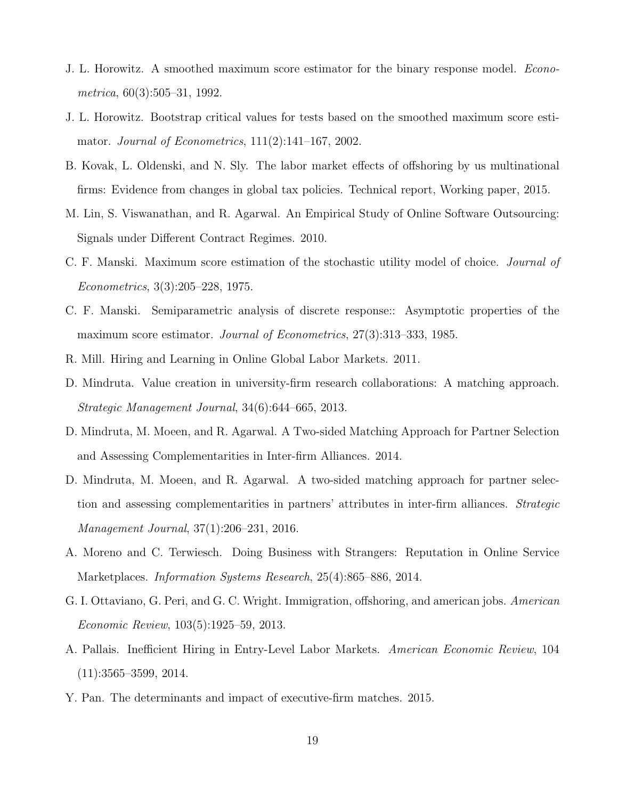- J. L. Horowitz. A smoothed maximum score estimator for the binary response model. Econometrica, 60(3):505–31, 1992.
- J. L. Horowitz. Bootstrap critical values for tests based on the smoothed maximum score estimator. Journal of Econometrics, 111(2):141–167, 2002.
- B. Kovak, L. Oldenski, and N. Sly. The labor market effects of offshoring by us multinational firms: Evidence from changes in global tax policies. Technical report, Working paper, 2015.
- M. Lin, S. Viswanathan, and R. Agarwal. An Empirical Study of Online Software Outsourcing: Signals under Different Contract Regimes. 2010.
- C. F. Manski. Maximum score estimation of the stochastic utility model of choice. Journal of Econometrics, 3(3):205–228, 1975.
- C. F. Manski. Semiparametric analysis of discrete response:: Asymptotic properties of the maximum score estimator. Journal of Econometrics, 27(3):313–333, 1985.
- R. Mill. Hiring and Learning in Online Global Labor Markets. 2011.
- D. Mindruta. Value creation in university-firm research collaborations: A matching approach. Strategic Management Journal, 34(6):644–665, 2013.
- D. Mindruta, M. Moeen, and R. Agarwal. A Two-sided Matching Approach for Partner Selection and Assessing Complementarities in Inter-firm Alliances. 2014.
- D. Mindruta, M. Moeen, and R. Agarwal. A two-sided matching approach for partner selection and assessing complementarities in partners' attributes in inter-firm alliances. Strategic Management Journal, 37(1):206–231, 2016.
- A. Moreno and C. Terwiesch. Doing Business with Strangers: Reputation in Online Service Marketplaces. Information Systems Research, 25(4):865–886, 2014.
- G. I. Ottaviano, G. Peri, and G. C. Wright. Immigration, offshoring, and american jobs. American Economic Review, 103(5):1925–59, 2013.
- A. Pallais. Inefficient Hiring in Entry-Level Labor Markets. American Economic Review, 104 (11):3565–3599, 2014.
- Y. Pan. The determinants and impact of executive-firm matches. 2015.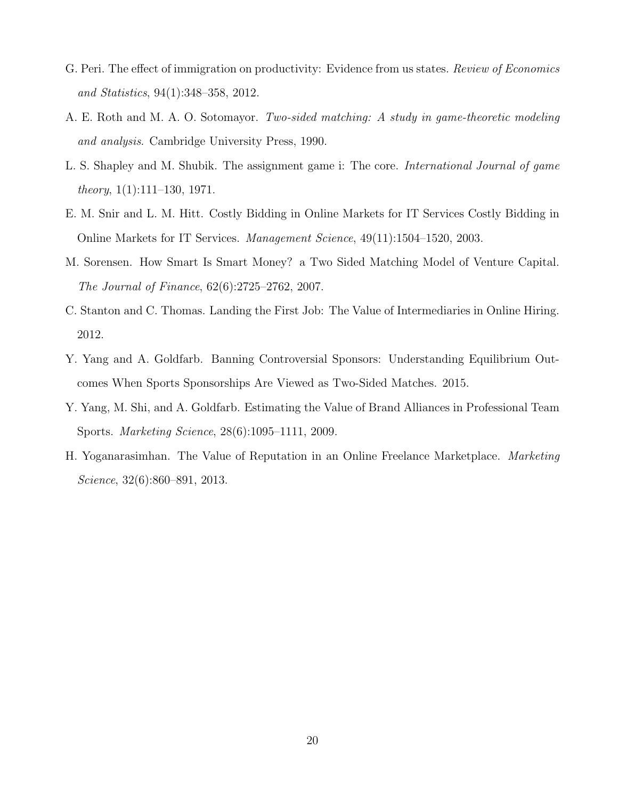- G. Peri. The effect of immigration on productivity: Evidence from us states. Review of Economics and Statistics, 94(1):348–358, 2012.
- A. E. Roth and M. A. O. Sotomayor. Two-sided matching: A study in game-theoretic modeling and analysis. Cambridge University Press, 1990.
- L. S. Shapley and M. Shubik. The assignment game i: The core. International Journal of game *theory*,  $1(1):111-130$ , 1971.
- E. M. Snir and L. M. Hitt. Costly Bidding in Online Markets for IT Services Costly Bidding in Online Markets for IT Services. Management Science, 49(11):1504–1520, 2003.
- M. Sorensen. How Smart Is Smart Money? a Two Sided Matching Model of Venture Capital. The Journal of Finance, 62(6):2725–2762, 2007.
- C. Stanton and C. Thomas. Landing the First Job: The Value of Intermediaries in Online Hiring. 2012.
- Y. Yang and A. Goldfarb. Banning Controversial Sponsors: Understanding Equilibrium Outcomes When Sports Sponsorships Are Viewed as Two-Sided Matches. 2015.
- Y. Yang, M. Shi, and A. Goldfarb. Estimating the Value of Brand Alliances in Professional Team Sports. Marketing Science, 28(6):1095–1111, 2009.
- H. Yoganarasimhan. The Value of Reputation in an Online Freelance Marketplace. Marketing Science, 32(6):860–891, 2013.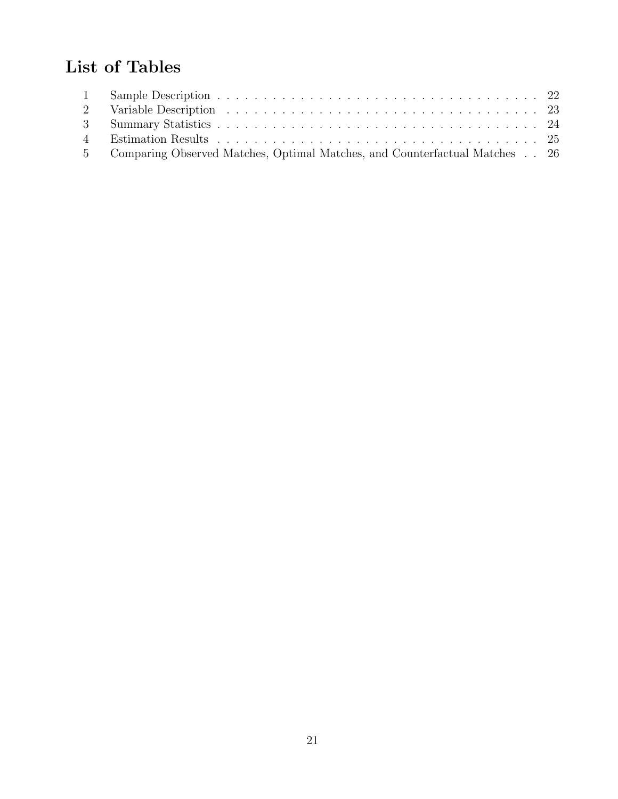# List of Tables

| 5 Comparing Observed Matches, Optimal Matches, and Counterfactual Matches 26 |  |
|------------------------------------------------------------------------------|--|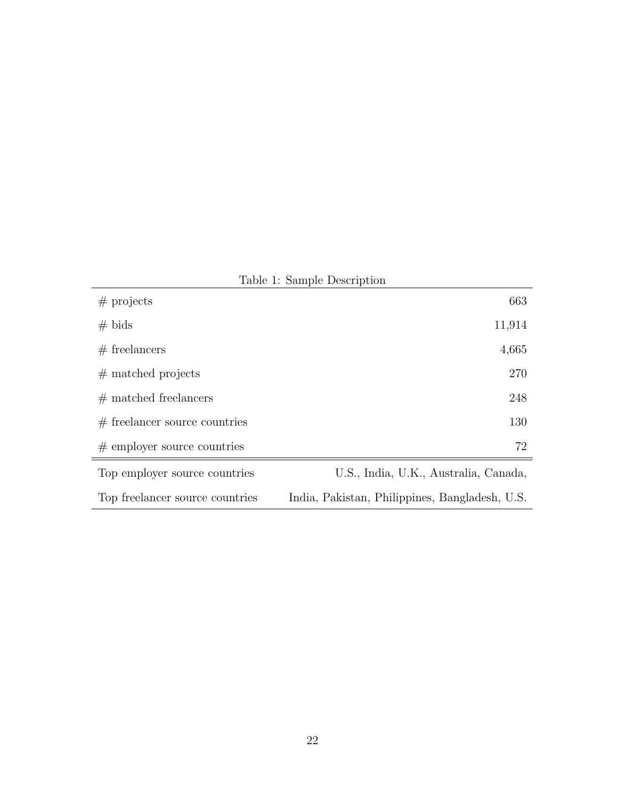|                                 | $1.0010$ $1.0011$                              |
|---------------------------------|------------------------------------------------|
| $#$ projects                    | 663                                            |
| $# \text{ bids}$                | 11,914                                         |
| $#$ freelancers                 | 4,665                                          |
| $#$ matched projects            | 270                                            |
| $#$ matched freelancers         | 248                                            |
| $#$ freelancer source countries | 130                                            |
| $#$ employer source countries   | 72                                             |
| Top employer source countries   | U.S., India, U.K., Australia, Canada,          |
| Top freelancer source countries | India, Pakistan, Philippines, Bangladesh, U.S. |

Table 1: Sample Description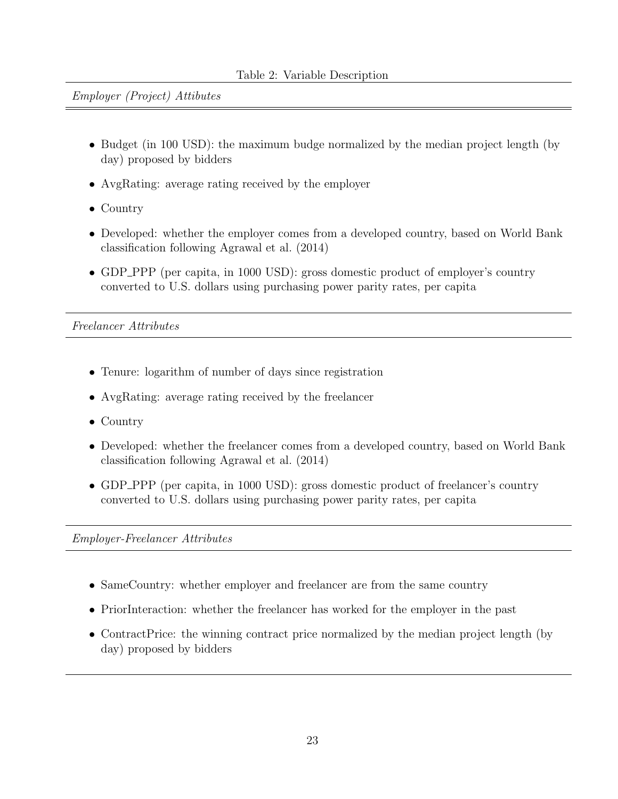Employer (Project) Attibutes

- Budget (in 100 USD): the maximum budge normalized by the median project length (by day) proposed by bidders
- AvgRating: average rating received by the employer
- Country
- Developed: whether the employer comes from a developed country, based on World Bank classification following Agrawal et al. (2014)
- GDP\_PPP (per capita, in 1000 USD): gross domestic product of employer's country converted to U.S. dollars using purchasing power parity rates, per capita

Freelancer Attributes

- Tenure: logarithm of number of days since registration
- AvgRating: average rating received by the freelancer
- Country
- Developed: whether the freelancer comes from a developed country, based on World Bank classification following Agrawal et al. (2014)
- GDP\_PPP (per capita, in 1000 USD): gross domestic product of freelancer's country converted to U.S. dollars using purchasing power parity rates, per capita

Employer-Freelancer Attributes

- SameCountry: whether employer and freelancer are from the same country
- PriorInteraction: whether the freelancer has worked for the employer in the past
- ContractPrice: the winning contract price normalized by the median project length (by day) proposed by bidders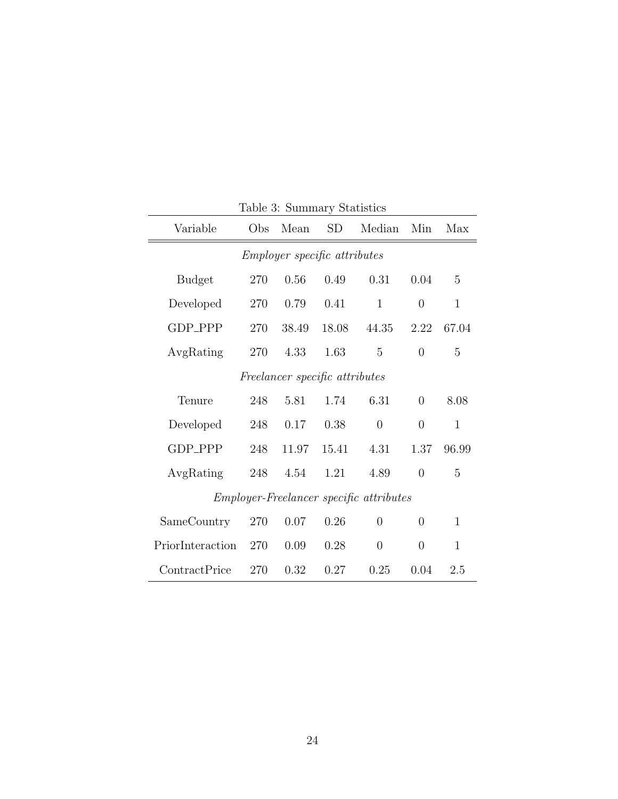| Variable                                       | Obs | Mean  | SD    | Median         | Min            | Max          |  |  |
|------------------------------------------------|-----|-------|-------|----------------|----------------|--------------|--|--|
| <i>Employer specific attributes</i>            |     |       |       |                |                |              |  |  |
| <b>Budget</b>                                  | 270 | 0.56  | 0.49  | 0.31           | 0.04           | 5            |  |  |
| Developed                                      | 270 | 0.79  | 0.41  | $\mathbf{1}$   | $\overline{0}$ | $\mathbf{1}$ |  |  |
| GDP_PPP                                        | 270 | 38.49 | 18.08 | 44.35          | 2.22           | 67.04        |  |  |
| AvgRating                                      | 270 | 4.33  | 1.63  | 5              | $\Omega$       | 5            |  |  |
| Freelancer specific attributes                 |     |       |       |                |                |              |  |  |
| Tenure                                         | 248 | 5.81  | 1.74  | 6.31           | $\theta$       | 8.08         |  |  |
| Developed                                      | 248 | 0.17  | 0.38  | $\overline{0}$ | $\theta$       | 1            |  |  |
| GDP_PPP                                        | 248 | 11.97 | 15.41 | 4.31           | 1.37           | 96.99        |  |  |
| AvgRating                                      | 248 | 4.54  | 1.21  | 4.89           | $\theta$       | 5            |  |  |
| <i>Employer-Freelancer specific attributes</i> |     |       |       |                |                |              |  |  |
| SameCountry                                    | 270 | 0.07  | 0.26  | $\theta$       | 0              | $\mathbf{1}$ |  |  |
| PriorInteraction                               | 270 | 0.09  | 0.28  | $\overline{0}$ | $\theta$       | $\mathbf{1}$ |  |  |
| ContractPrice                                  | 270 | 0.32  | 0.27  | 0.25           | 0.04           | 2.5          |  |  |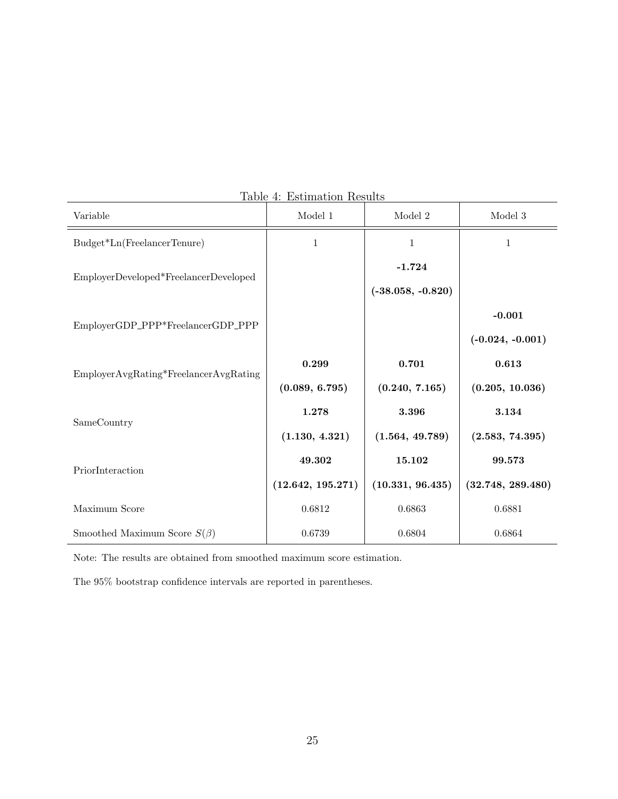| Variable                                | таріє 4. Емініанон немію<br>$\,$ Model $\,1$ | Model 2             | $\textbf{Model}~3$ |  |
|-----------------------------------------|----------------------------------------------|---------------------|--------------------|--|
| Budget*Ln(FreelancerTenure)             | $\mathbf{1}$                                 | $\mathbf{1}$        | $\mathbf{1}$       |  |
| EmployerDeveloped*FreelancerDeveloped   |                                              | $-1.724$            |                    |  |
|                                         |                                              | $(-38.058, -0.820)$ |                    |  |
| EmployerGDP_PPP*FreelancerGDP_PPP       |                                              |                     | $-0.001$           |  |
|                                         |                                              |                     | $(-0.024, -0.001)$ |  |
| $EmplayerAvgRating*FreelancerAvgRating$ | 0.299                                        | 0.701               | 0.613              |  |
|                                         | (0.089, 6.795)                               | (0.240, 7.165)      | (0.205, 10.036)    |  |
| SameCountry                             | 1.278                                        | 3.396               | 3.134              |  |
|                                         | (1.130, 4.321)                               | (1.564, 49.789)     | (2.583, 74.395)    |  |
| PriorInteraction                        | 49.302                                       | 15.102              | 99.573             |  |
|                                         | (12.642, 195.271)                            | (10.331, 96.435)    | (32.748, 289.480)  |  |
| Maximum Score                           | 0.6812                                       | 0.6863              | 0.6881             |  |
| Smoothed Maximum Score $S(\beta)$       | 0.6739                                       | 0.6804              | 0.6864             |  |

Table 4: Estimation Results

Note: The results are obtained from smoothed maximum score estimation.

The 95% bootstrap confidence intervals are reported in parentheses.